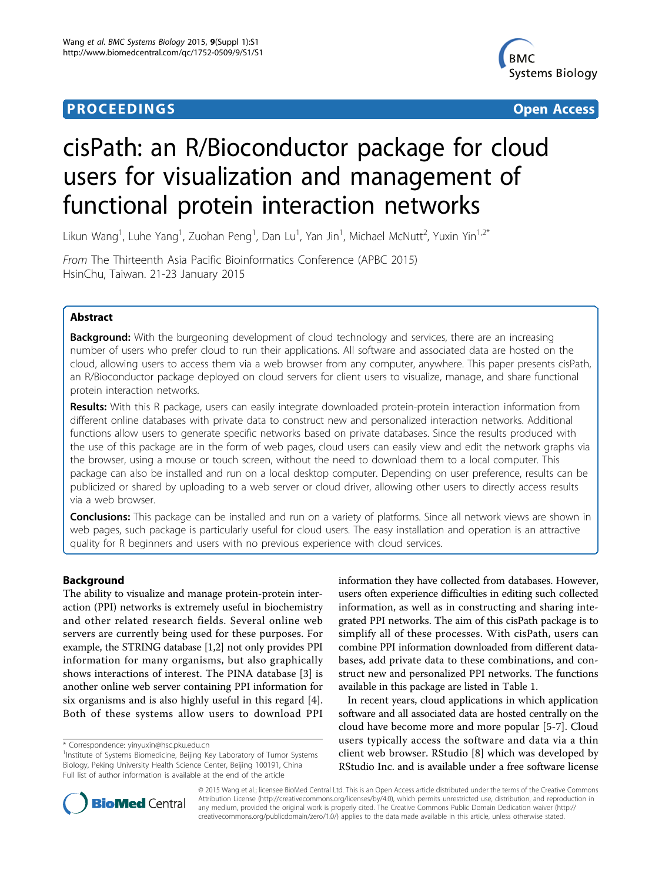## **PROCEEDINGS CONSUMING S** Open Access **CONSUMING S**



# cisPath: an R/Bioconductor package for cloud users for visualization and management of functional protein interaction networks

Likun Wang<sup>1</sup>, Luhe Yang<sup>1</sup>, Zuohan Peng<sup>1</sup>, Dan Lu<sup>1</sup>, Yan Jin<sup>1</sup>, Michael McNutt<sup>2</sup>, Yuxin Yin<sup>1,2\*</sup>

From The Thirteenth Asia Pacific Bioinformatics Conference (APBC 2015) HsinChu, Taiwan. 21-23 January 2015

## Abstract

**Background:** With the burgeoning development of cloud technology and services, there are an increasing number of users who prefer cloud to run their applications. All software and associated data are hosted on the cloud, allowing users to access them via a web browser from any computer, anywhere. This paper presents cisPath, an R/Bioconductor package deployed on cloud servers for client users to visualize, manage, and share functional protein interaction networks.

Results: With this R package, users can easily integrate downloaded protein-protein interaction information from different online databases with private data to construct new and personalized interaction networks. Additional functions allow users to generate specific networks based on private databases. Since the results produced with the use of this package are in the form of web pages, cloud users can easily view and edit the network graphs via the browser, using a mouse or touch screen, without the need to download them to a local computer. This package can also be installed and run on a local desktop computer. Depending on user preference, results can be publicized or shared by uploading to a web server or cloud driver, allowing other users to directly access results via a web browser.

Conclusions: This package can be installed and run on a variety of platforms. Since all network views are shown in web pages, such package is particularly useful for cloud users. The easy installation and operation is an attractive quality for R beginners and users with no previous experience with cloud services.

## Background

The ability to visualize and manage protein-protein interaction (PPI) networks is extremely useful in biochemistry and other related research fields. Several online web servers are currently being used for these purposes. For example, the STRING database [\[1,2\]](#page-5-0) not only provides PPI information for many organisms, but also graphically shows interactions of interest. The PINA database [[3\]](#page-5-0) is another online web server containing PPI information for six organisms and is also highly useful in this regard [\[4](#page-5-0)]. Both of these systems allow users to download PPI information they have collected from databases. However, users often experience difficulties in editing such collected information, as well as in constructing and sharing integrated PPI networks. The aim of this cisPath package is to simplify all of these processes. With cisPath, users can combine PPI information downloaded from different databases, add private data to these combinations, and construct new and personalized PPI networks. The functions available in this package are listed in Table [1](#page-1-0).

In recent years, cloud applications in which application software and all associated data are hosted centrally on the cloud have become more and more popular [[5-7](#page-5-0)]. Cloud users typically access the software and data via a thin client web browser. RStudio [\[8](#page-5-0)] which was developed by RStudio Inc. and is available under a free software license



© 2015 Wang et al.; licensee BioMed Central Ltd. This is an Open Access article distributed under the terms of the Creative Commons Attribution License [\(http://creativecommons.org/licenses/by/4.0](http://creativecommons.org/licenses/by/4.0)), which permits unrestricted use, distribution, and reproduction in any medium, provided the original work is properly cited. The Creative Commons Public Domain Dedication waiver [\(http://](http://creativecommons.org/publicdomain/zero/1.0/) [creativecommons.org/publicdomain/zero/1.0/](http://creativecommons.org/publicdomain/zero/1.0/)) applies to the data made available in this article, unless otherwise stated.

<sup>\*</sup> Correspondence: [yinyuxin@hsc.pku.edu.cn](mailto:yinyuxin@hsc.pku.edu.cn)

<sup>&</sup>lt;sup>1</sup>Institute of Systems Biomedicine, Beijing Key Laboratory of Tumor Systems Biology, Peking University Health Science Center, Beijing 100191, China Full list of author information is available at the end of the article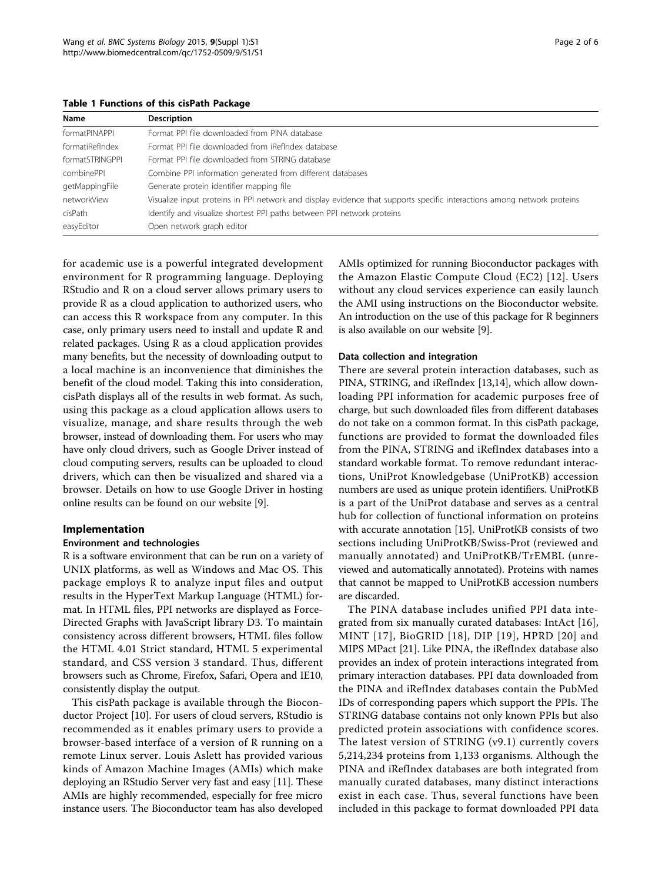<span id="page-1-0"></span>Table 1 Functions of this cisPath Package

| Name            | <b>Description</b>                                                                                                      |
|-----------------|-------------------------------------------------------------------------------------------------------------------------|
| formatPINAPPI   | Format PPI file downloaded from PINA database                                                                           |
| formatiRefIndex | Format PPI file downloaded from iRefIndex database                                                                      |
| formatSTRINGPPL | Format PPI file downloaded from STRING database                                                                         |
| combinePPI      | Combine PPI information generated from different databases                                                              |
| getMappingFile  | Generate protein identifier mapping file                                                                                |
| networkView     | Visualize input proteins in PPI network and display evidence that supports specific interactions among network proteins |
| cisPath         | Identify and visualize shortest PPI paths between PPI network proteins                                                  |
| easyEditor      | Open network graph editor                                                                                               |

for academic use is a powerful integrated development environment for R programming language. Deploying RStudio and R on a cloud server allows primary users to provide R as a cloud application to authorized users, who can access this R workspace from any computer. In this case, only primary users need to install and update R and related packages. Using R as a cloud application provides many benefits, but the necessity of downloading output to a local machine is an inconvenience that diminishes the benefit of the cloud model. Taking this into consideration, cisPath displays all of the results in web format. As such, using this package as a cloud application allows users to visualize, manage, and share results through the web browser, instead of downloading them. For users who may have only cloud drivers, such as Google Driver instead of cloud computing servers, results can be uploaded to cloud drivers, which can then be visualized and shared via a browser. Details on how to use Google Driver in hosting online results can be found on our website [\[9\]](#page-5-0).

## Implementation

#### Environment and technologies

R is a software environment that can be run on a variety of UNIX platforms, as well as Windows and Mac OS. This package employs R to analyze input files and output results in the HyperText Markup Language (HTML) format. In HTML files, PPI networks are displayed as Force-Directed Graphs with JavaScript library D3. To maintain consistency across different browsers, HTML files follow the HTML 4.01 Strict standard, HTML 5 experimental standard, and CSS version 3 standard. Thus, different browsers such as Chrome, Firefox, Safari, Opera and IE10, consistently display the output.

This cisPath package is available through the Bioconductor Project [\[10\]](#page-5-0). For users of cloud servers, RStudio is recommended as it enables primary users to provide a browser-based interface of a version of R running on a remote Linux server. Louis Aslett has provided various kinds of Amazon Machine Images (AMIs) which make deploying an RStudio Server very fast and easy [\[11\]](#page-5-0). These AMIs are highly recommended, especially for free micro instance users. The Bioconductor team has also developed AMIs optimized for running Bioconductor packages with the Amazon Elastic Compute Cloud (EC2) [\[12\]](#page-5-0). Users without any cloud services experience can easily launch the AMI using instructions on the Bioconductor website. An introduction on the use of this package for R beginners is also available on our website [[9\]](#page-5-0).

#### Data collection and integration

There are several protein interaction databases, such as PINA, STRING, and iRefIndex [\[13,14\]](#page-5-0), which allow downloading PPI information for academic purposes free of charge, but such downloaded files from different databases do not take on a common format. In this cisPath package, functions are provided to format the downloaded files from the PINA, STRING and iRefIndex databases into a standard workable format. To remove redundant interactions, UniProt Knowledgebase (UniProtKB) accession numbers are used as unique protein identifiers. UniProtKB is a part of the UniProt database and serves as a central hub for collection of functional information on proteins with accurate annotation [\[15](#page-5-0)]. UniProtKB consists of two sections including UniProtKB/Swiss-Prot (reviewed and manually annotated) and UniProtKB/TrEMBL (unreviewed and automatically annotated). Proteins with names that cannot be mapped to UniProtKB accession numbers are discarded.

The PINA database includes unified PPI data integrated from six manually curated databases: IntAct [\[16](#page-5-0)], MINT [[17](#page-5-0)], BioGRID [\[18](#page-5-0)], DIP [[19](#page-5-0)], HPRD [[20\]](#page-5-0) and MIPS MPact [[21](#page-5-0)]. Like PINA, the iRefIndex database also provides an index of protein interactions integrated from primary interaction databases. PPI data downloaded from the PINA and iRefIndex databases contain the PubMed IDs of corresponding papers which support the PPIs. The STRING database contains not only known PPIs but also predicted protein associations with confidence scores. The latest version of STRING (v9.1) currently covers 5,214,234 proteins from 1,133 organisms. Although the PINA and iRefIndex databases are both integrated from manually curated databases, many distinct interactions exist in each case. Thus, several functions have been included in this package to format downloaded PPI data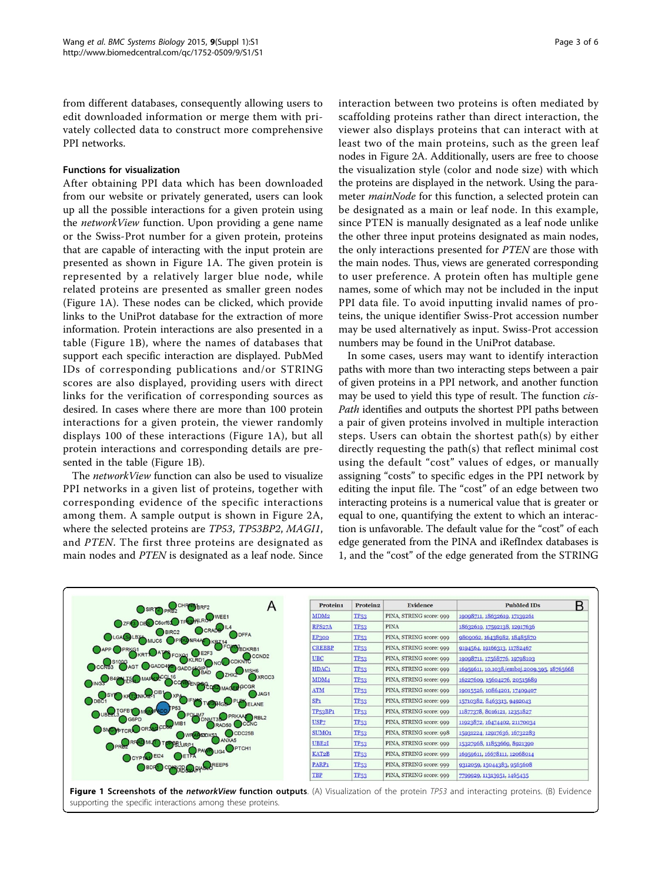from different databases, consequently allowing users to edit downloaded information or merge them with privately collected data to construct more comprehensive PPI networks.

## Functions for visualization

After obtaining PPI data which has been downloaded from our website or privately generated, users can look up all the possible interactions for a given protein using the networkView function. Upon providing a gene name or the Swiss-Prot number for a given protein, proteins that are capable of interacting with the input protein are presented as shown in Figure 1A. The given protein is represented by a relatively larger blue node, while related proteins are presented as smaller green nodes (Figure 1A). These nodes can be clicked, which provide links to the UniProt database for the extraction of more information. Protein interactions are also presented in a table (Figure 1B), where the names of databases that support each specific interaction are displayed. PubMed IDs of corresponding publications and/or STRING scores are also displayed, providing users with direct links for the verification of corresponding sources as desired. In cases where there are more than 100 protein interactions for a given protein, the viewer randomly displays 100 of these interactions (Figure 1A), but all protein interactions and corresponding details are presented in the table (Figure 1B).

The networkView function can also be used to visualize PPI networks in a given list of proteins, together with corresponding evidence of the specific interactions among them. A sample output is shown in Figure [2A](#page-3-0), where the selected proteins are TP53, TP53BP2, MAGI1, and PTEN. The first three proteins are designated as main nodes and PTEN is designated as a leaf node. Since interaction between two proteins is often mediated by scaffolding proteins rather than direct interaction, the viewer also displays proteins that can interact with at least two of the main proteins, such as the green leaf nodes in Figure [2A.](#page-3-0) Additionally, users are free to choose the visualization style (color and node size) with which the proteins are displayed in the network. Using the parameter *mainNode* for this function, a selected protein can be designated as a main or leaf node. In this example, since PTEN is manually designated as a leaf node unlike the other three input proteins designated as main nodes, the only interactions presented for PTEN are those with the main nodes. Thus, views are generated corresponding to user preference. A protein often has multiple gene names, some of which may not be included in the input PPI data file. To avoid inputting invalid names of proteins, the unique identifier Swiss-Prot accession number may be used alternatively as input. Swiss-Prot accession numbers may be found in the UniProt database.

In some cases, users may want to identify interaction paths with more than two interacting steps between a pair of given proteins in a PPI network, and another function may be used to yield this type of result. The function *cis-*Path identifies and outputs the shortest PPI paths between a pair of given proteins involved in multiple interaction steps. Users can obtain the shortest path(s) by either directly requesting the path(s) that reflect minimal cost using the default "cost" values of edges, or manually assigning "costs" to specific edges in the PPI network by editing the input file. The "cost" of an edge between two interacting proteins is a numerical value that is greater or equal to one, quantifying the extent to which an interaction is unfavorable. The default value for the "cost" of each edge generated from the PINA and iRefIndex databases is 1, and the "cost" of the edge generated from the STRING



Figure 1 Screenshots of the networkView function outputs. (A) Visualization of the protein TP53 and interacting proteins. (B) Evidence supporting the specific interactions among these proteins.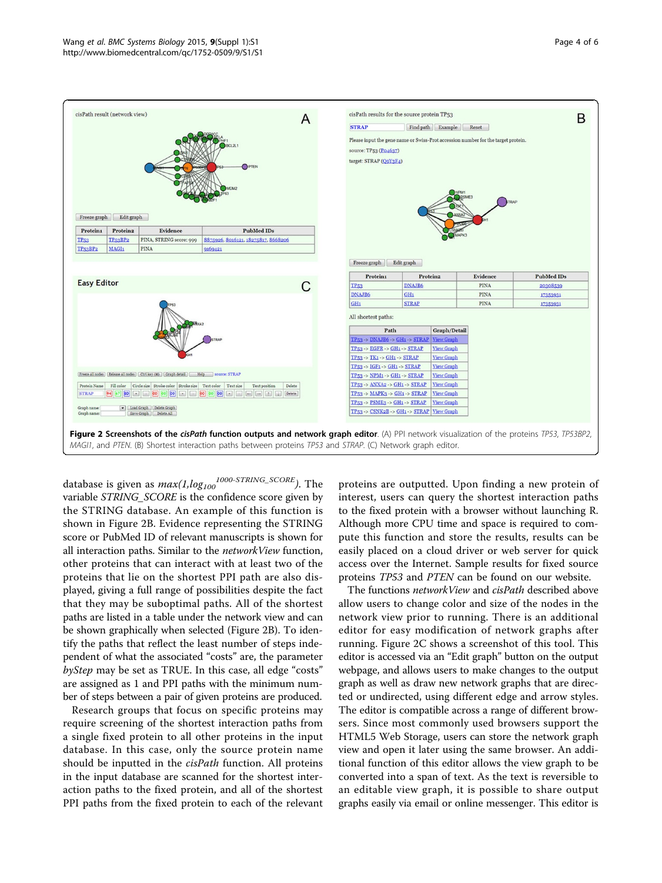<span id="page-3-0"></span>

database is given as  $max(1, log_{100}^{1000-STRING\_SCORE})$ . The variable STRING SCORE is the confidence score given by the STRING database. An example of this function is shown in Figure 2B. Evidence representing the STRING score or PubMed ID of relevant manuscripts is shown for all interaction paths. Similar to the networkView function, other proteins that can interact with at least two of the proteins that lie on the shortest PPI path are also displayed, giving a full range of possibilities despite the fact that they may be suboptimal paths. All of the shortest paths are listed in a table under the network view and can be shown graphically when selected (Figure 2B). To identify the paths that reflect the least number of steps independent of what the associated "costs" are, the parameter byStep may be set as TRUE. In this case, all edge "costs" are assigned as 1 and PPI paths with the minimum number of steps between a pair of given proteins are produced.

Research groups that focus on specific proteins may require screening of the shortest interaction paths from a single fixed protein to all other proteins in the input database. In this case, only the source protein name should be inputted in the *cisPath* function. All proteins in the input database are scanned for the shortest interaction paths to the fixed protein, and all of the shortest PPI paths from the fixed protein to each of the relevant

proteins are outputted. Upon finding a new protein of interest, users can query the shortest interaction paths to the fixed protein with a browser without launching R. Although more CPU time and space is required to compute this function and store the results, results can be easily placed on a cloud driver or web server for quick access over the Internet. Sample results for fixed source proteins TP53 and PTEN can be found on our website.

The functions *networkView* and *cisPath* described above allow users to change color and size of the nodes in the network view prior to running. There is an additional editor for easy modification of network graphs after running. Figure 2C shows a screenshot of this tool. This editor is accessed via an "Edit graph" button on the output webpage, and allows users to make changes to the output graph as well as draw new network graphs that are directed or undirected, using different edge and arrow styles. The editor is compatible across a range of different browsers. Since most commonly used browsers support the HTML5 Web Storage, users can store the network graph view and open it later using the same browser. An additional function of this editor allows the view graph to be converted into a span of text. As the text is reversible to an editable view graph, it is possible to share output graphs easily via email or online messenger. This editor is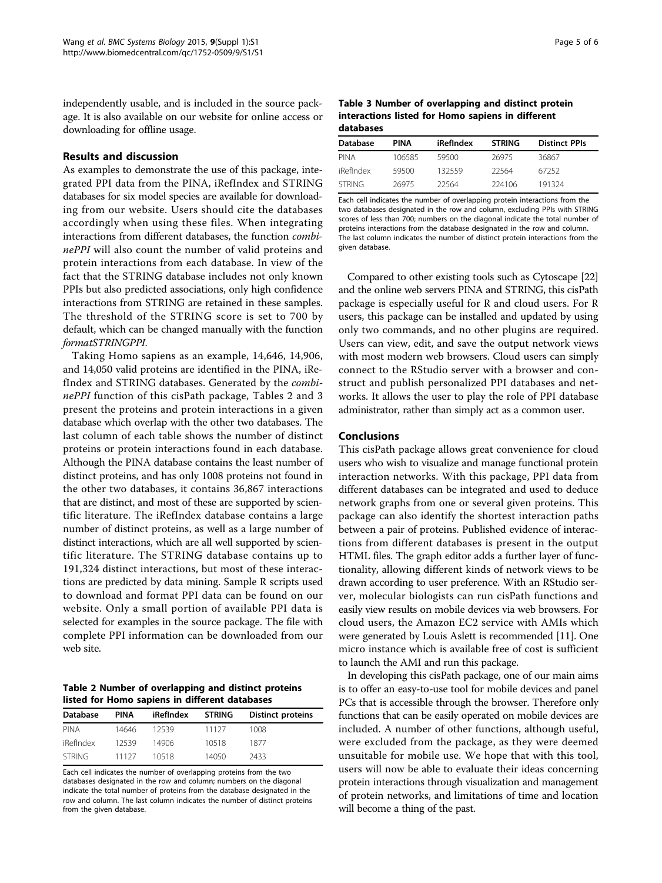independently usable, and is included in the source package. It is also available on our website for online access or downloading for offline usage.

## Results and discussion

As examples to demonstrate the use of this package, integrated PPI data from the PINA, iRefIndex and STRING databases for six model species are available for downloading from our website. Users should cite the databases accordingly when using these files. When integrating interactions from different databases, the function combinePPI will also count the number of valid proteins and protein interactions from each database. In view of the fact that the STRING database includes not only known PPIs but also predicted associations, only high confidence interactions from STRING are retained in these samples. The threshold of the STRING score is set to 700 by default, which can be changed manually with the function formatSTRINGPPI.

Taking Homo sapiens as an example, 14,646, 14,906, and 14,050 valid proteins are identified in the PINA, iRefIndex and STRING databases. Generated by the *combi*nePPI function of this cisPath package, Tables 2 and 3 present the proteins and protein interactions in a given database which overlap with the other two databases. The last column of each table shows the number of distinct proteins or protein interactions found in each database. Although the PINA database contains the least number of distinct proteins, and has only 1008 proteins not found in the other two databases, it contains 36,867 interactions that are distinct, and most of these are supported by scientific literature. The iRefIndex database contains a large number of distinct proteins, as well as a large number of distinct interactions, which are all well supported by scientific literature. The STRING database contains up to 191,324 distinct interactions, but most of these interactions are predicted by data mining. Sample R scripts used to download and format PPI data can be found on our website. Only a small portion of available PPI data is selected for examples in the source package. The file with complete PPI information can be downloaded from our web site.

Table 2 Number of overlapping and distinct proteins listed for Homo sapiens in different databases

| <b>Database</b> | PINA  | iRefIndex | <b>STRING</b> | <b>Distinct proteins</b> |  |
|-----------------|-------|-----------|---------------|--------------------------|--|
| <b>PINA</b>     | 14646 | 12539     | 11127         | 1008                     |  |
| iRefIndex       | 12539 | 14906     | 10518         | 1877                     |  |
| <b>STRING</b>   | 11127 | 10518     | 14050         | 2433                     |  |

Each cell indicates the number of overlapping proteins from the two databases designated in the row and column; numbers on the diagonal indicate the total number of proteins from the database designated in the row and column. The last column indicates the number of distinct proteins from the given database.

Table 3 Number of overlapping and distinct protein interactions listed for Homo sapiens in different databases

| Database      | PINA   | iRefIndex | <b>STRING</b> | <b>Distinct PPIs</b> |  |  |
|---------------|--------|-----------|---------------|----------------------|--|--|
| <b>PINA</b>   | 106585 | 59500     | 26975         | 36867                |  |  |
| iRefIndex     | 59500  | 132559    | 22564         | 67252                |  |  |
| <b>STRING</b> | 26975  | 22564     | 224106        | 191324               |  |  |

Each cell indicates the number of overlapping protein interactions from the two databases designated in the row and column, excluding PPIs with STRING scores of less than 700; numbers on the diagonal indicate the total number of proteins interactions from the database designated in the row and column. The last column indicates the number of distinct protein interactions from the given database.

Compared to other existing tools such as Cytoscape [[22](#page-5-0)] and the online web servers PINA and STRING, this cisPath package is especially useful for R and cloud users. For R users, this package can be installed and updated by using only two commands, and no other plugins are required. Users can view, edit, and save the output network views with most modern web browsers. Cloud users can simply connect to the RStudio server with a browser and construct and publish personalized PPI databases and networks. It allows the user to play the role of PPI database administrator, rather than simply act as a common user.

## Conclusions

This cisPath package allows great convenience for cloud users who wish to visualize and manage functional protein interaction networks. With this package, PPI data from different databases can be integrated and used to deduce network graphs from one or several given proteins. This package can also identify the shortest interaction paths between a pair of proteins. Published evidence of interactions from different databases is present in the output HTML files. The graph editor adds a further layer of functionality, allowing different kinds of network views to be drawn according to user preference. With an RStudio server, molecular biologists can run cisPath functions and easily view results on mobile devices via web browsers. For cloud users, the Amazon EC2 service with AMIs which were generated by Louis Aslett is recommended [[11](#page-5-0)]. One micro instance which is available free of cost is sufficient to launch the AMI and run this package.

In developing this cisPath package, one of our main aims is to offer an easy-to-use tool for mobile devices and panel PCs that is accessible through the browser. Therefore only functions that can be easily operated on mobile devices are included. A number of other functions, although useful, were excluded from the package, as they were deemed unsuitable for mobile use. We hope that with this tool, users will now be able to evaluate their ideas concerning protein interactions through visualization and management of protein networks, and limitations of time and location will become a thing of the past.